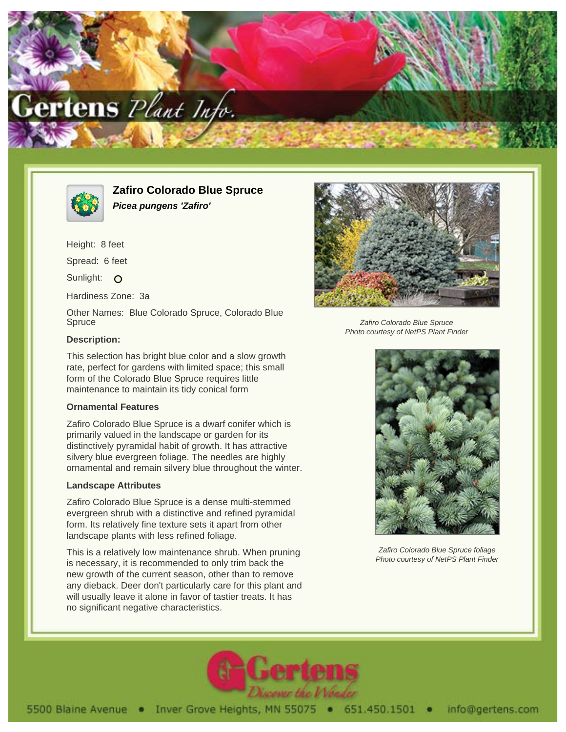



**Zafiro Colorado Blue Spruce Picea pungens 'Zafiro'**

Height: 8 feet Spread: 6 feet

Sunlight: O

Hardiness Zone: 3a

Other Names: Blue Colorado Spruce, Colorado Blue **Spruce** 

## **Description:**

This selection has bright blue color and a slow growth rate, perfect for gardens with limited space; this small form of the Colorado Blue Spruce requires little maintenance to maintain its tidy conical form

## **Ornamental Features**

Zafiro Colorado Blue Spruce is a dwarf conifer which is primarily valued in the landscape or garden for its distinctively pyramidal habit of growth. It has attractive silvery blue evergreen foliage. The needles are highly ornamental and remain silvery blue throughout the winter.

## **Landscape Attributes**

Zafiro Colorado Blue Spruce is a dense multi-stemmed evergreen shrub with a distinctive and refined pyramidal form. Its relatively fine texture sets it apart from other landscape plants with less refined foliage.

This is a relatively low maintenance shrub. When pruning is necessary, it is recommended to only trim back the new growth of the current season, other than to remove any dieback. Deer don't particularly care for this plant and will usually leave it alone in favor of tastier treats. It has no significant negative characteristics.



Zafiro Colorado Blue Spruce Photo courtesy of NetPS Plant Finder



Zafiro Colorado Blue Spruce foliage Photo courtesy of NetPS Plant Finder